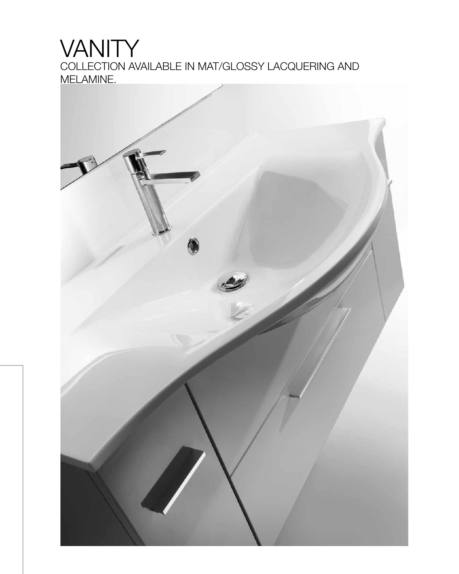## **VANITY** COLLECTION AVAILABLE IN MAT/GLOSSY LACQUERING AND MELAMINE.

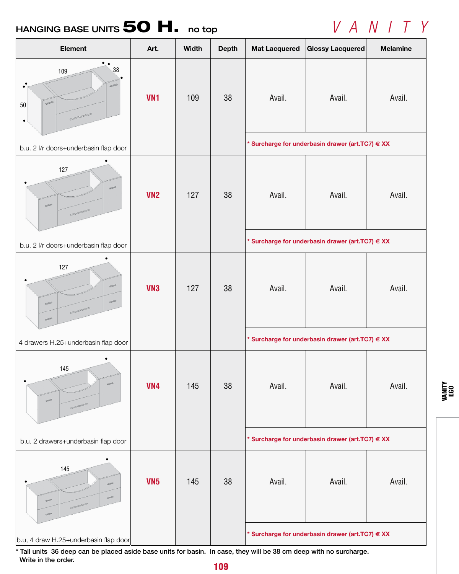## HANGING BASE UNITS 50 H. no top

*V A N I T Y*

VANITY<br>Ego

| <b>Element</b>                                                                 | Art.            | <b>Width</b> | <b>Depth</b> | <b>Mat Lacquered</b>                             | <b>Glossy Lacquered</b> | <b>Melamine</b> |  |
|--------------------------------------------------------------------------------|-----------------|--------------|--------------|--------------------------------------------------|-------------------------|-----------------|--|
| $\bullet$ .<br>38<br>109<br>$\bullet^\bullet$<br><b>SEP</b><br>50<br>$\bullet$ | VN <sub>1</sub> | 109          | 38           | Avail.                                           | Avail.                  | Avail.          |  |
| b.u. 2 I/r doors+underbasin flap door                                          |                 |              |              | * Surcharge for underbasin drawer (art.TC7) € XX |                         |                 |  |
| 127<br>-55<br><b>SEP</b>                                                       | VN <sub>2</sub> | 127          | 38           | Avail.                                           | Avail.                  | Avail.          |  |
| b.u. 2 I/r doors+underbasin flap door                                          |                 |              |              | * Surcharge for underbasin drawer (art.TC7) € XX |                         |                 |  |
| 127<br>$\bullet$<br>$\mathcal{C}^{\leq 0}$<br><b>SEED</b><br><b>SERIES</b>     | VN <sub>3</sub> | 127          | 38           | Avail.                                           | Avail.                  | Avail.          |  |
| 4 drawers H.25+underbasin flap door                                            |                 |              |              | * Surcharge for underbasin drawer (art.TC7) € XX |                         |                 |  |
| 145<br><b>SERIED</b>                                                           | <b>VN4</b>      | 145          | 38           | Avail.                                           | Avail.                  | Avail.          |  |
| b.u. 2 drawers+underbasin flap door                                            |                 |              |              | * Surcharge for underbasin drawer (art.TC7) € XX |                         |                 |  |
| 145<br>-50<br><b>SOFF</b>                                                      | VN <sub>5</sub> | 145          | 38           | Avail.                                           | Avail.                  | Avail.          |  |
| b.u, 4 draw H.25+underbasin flap door                                          |                 |              |              | * Surcharge for underbasin drawer (art.TC7) € XX |                         |                 |  |

\* Tall units 36 deep can be placed aside base units for basin. In case, they will be 38 cm deep with no surcharge. Write in the order.

109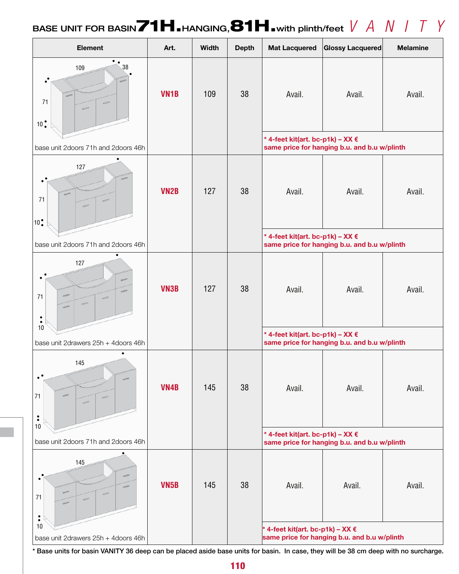## BASE UNIT FOR BASIN $\overline{71H}$  . HANGING, $\overline{81H}$  . with plinth/feet  $\mathop{V}\nolimits A \;\; N \;\; \mathop{I}\nolimits \;\; \mathop{Y}\nolimits$



\* Base units for basin VANITY 36 deep can be placed aside base units for basin. In case, they will be 38 cm deep with no surcharge.